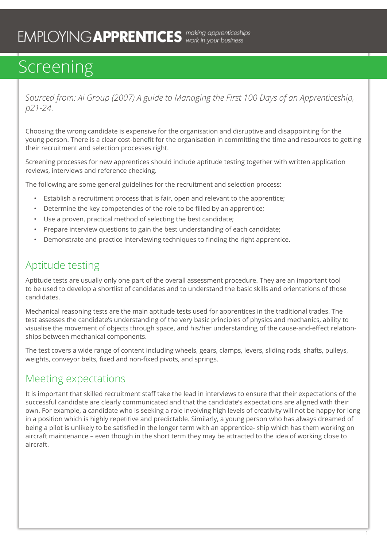*Sourced from: AI Group (2007) A guide to Managing the First 100 Days of an Apprenticeship, p21-24.*

Choosing the wrong candidate is expensive for the organisation and disruptive and disappointing for the young person. There is a clear cost-benefit for the organisation in committing the time and resources to getting their recruitment and selection processes right.

Screening processes for new apprentices should include aptitude testing together with written application reviews, interviews and reference checking.

The following are some general guidelines for the recruitment and selection process:

- Establish a recruitment process that is fair, open and relevant to the apprentice;
- Determine the key competencies of the role to be filled by an apprentice;
- Use a proven, practical method of selecting the best candidate;
- Prepare interview questions to gain the best understanding of each candidate;
- Demonstrate and practice interviewing techniques to finding the right apprentice.

#### Aptitude testing

Aptitude tests are usually only one part of the overall assessment procedure. They are an important tool to be used to develop a shortlist of candidates and to understand the basic skills and orientations of those candidates.

Mechanical reasoning tests are the main aptitude tests used for apprentices in the traditional trades. The test assesses the candidate's understanding of the very basic principles of physics and mechanics, ability to visualise the movement of objects through space, and his/her understanding of the cause-and-effect relationships between mechanical components.

The test covers a wide range of content including wheels, gears, clamps, levers, sliding rods, shafts, pulleys, weights, conveyor belts, fixed and non-fixed pivots, and springs.

#### Meeting expectations

It is important that skilled recruitment staff take the lead in interviews to ensure that their expectations of the successful candidate are clearly communicated and that the candidate's expectations are aligned with their own. For example, a candidate who is seeking a role involving high levels of creativity will not be happy for long in a position which is highly repetitive and predictable. Similarly, a young person who has always dreamed of being a pilot is unlikely to be satisfied in the longer term with an apprentice- ship which has them working on aircraft maintenance – even though in the short term they may be attracted to the idea of working close to aircraft.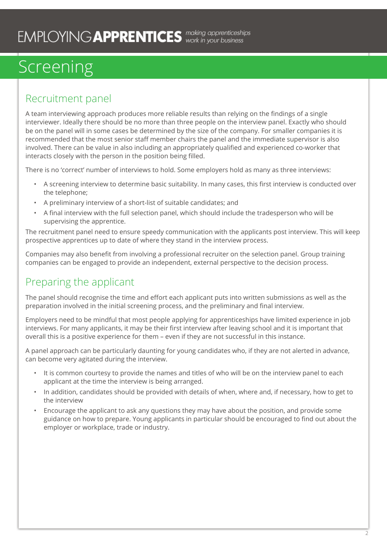#### Recruitment panel

A team interviewing approach produces more reliable results than relying on the findings of a single interviewer. Ideally there should be no more than three people on the interview panel. Exactly who should be on the panel will in some cases be determined by the size of the company. For smaller companies it is recommended that the most senior staff member chairs the panel and the immediate supervisor is also involved. There can be value in also including an appropriately qualified and experienced co-worker that interacts closely with the person in the position being filled.

There is no 'correct' number of interviews to hold. Some employers hold as many as three interviews:

- A screening interview to determine basic suitability. In many cases, this first interview is conducted over the telephone;
- A preliminary interview of a short-list of suitable candidates; and
- A final interview with the full selection panel, which should include the tradesperson who will be supervising the apprentice.

The recruitment panel need to ensure speedy communication with the applicants post interview. This will keep prospective apprentices up to date of where they stand in the interview process.

Companies may also benefit from involving a professional recruiter on the selection panel. Group training companies can be engaged to provide an independent, external perspective to the decision process.

### Preparing the applicant

The panel should recognise the time and effort each applicant puts into written submissions as well as the preparation involved in the initial screening process, and the preliminary and final interview.

Employers need to be mindful that most people applying for apprenticeships have limited experience in job interviews. For many applicants, it may be their first interview after leaving school and it is important that overall this is a positive experience for them – even if they are not successful in this instance.

A panel approach can be particularly daunting for young candidates who, if they are not alerted in advance, can become very agitated during the interview.

- It is common courtesy to provide the names and titles of who will be on the interview panel to each applicant at the time the interview is being arranged.
- In addition, candidates should be provided with details of when, where and, if necessary, how to get to the interview
- Encourage the applicant to ask any questions they may have about the position, and provide some guidance on how to prepare. Young applicants in particular should be encouraged to find out about the employer or workplace, trade or industry.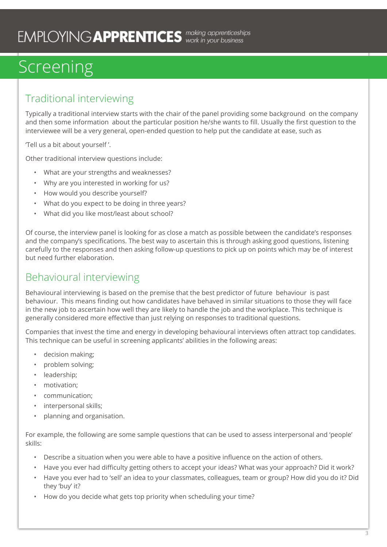### Traditional interviewing

Typically a traditional interview starts with the chair of the panel providing some background on the company and then some information about the particular position he/she wants to fill. Usually the first question to the interviewee will be a very general, open-ended question to help put the candidate at ease, such as

'Tell us a bit about yourself '.

Other traditional interview questions include:

- What are your strengths and weaknesses?
- Why are you interested in working for us?
- How would you describe yourself?
- What do you expect to be doing in three years?
- What did you like most/least about school?

Of course, the interview panel is looking for as close a match as possible between the candidate's responses and the company's specifications. The best way to ascertain this is through asking good questions, listening carefully to the responses and then asking follow-up questions to pick up on points which may be of interest but need further elaboration.

### Behavioural interviewing

Behavioural interviewing is based on the premise that the best predictor of future behaviour is past behaviour. This means finding out how candidates have behaved in similar situations to those they will face in the new job to ascertain how well they are likely to handle the job and the workplace. This technique is generally considered more effective than just relying on responses to traditional questions.

Companies that invest the time and energy in developing behavioural interviews often attract top candidates. This technique can be useful in screening applicants' abilities in the following areas:

- decision making;
- problem solving;
- leadership;
- motivation;
- communication;
- interpersonal skills;
- planning and organisation.

For example, the following are some sample questions that can be used to assess interpersonal and 'people' skills:

- Describe a situation when you were able to have a positive influence on the action of others.
- Have you ever had difficulty getting others to accept your ideas? What was your approach? Did it work?
- Have you ever had to 'sell' an idea to your classmates, colleagues, team or group? How did you do it? Did they 'buy' it?
- How do you decide what gets top priority when scheduling your time?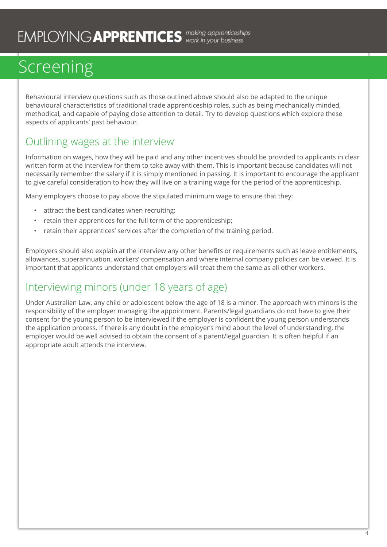Behavioural interview questions such as those outlined above should also be adapted to the unique behavioural characteristics of traditional trade apprenticeship roles, such as being mechanically minded, methodical, and capable of paying close attention to detail. Try to develop questions which explore these aspects of applicants' past behaviour.

### Outlining wages at the interview

Information on wages, how they will be paid and any other incentives should be provided to applicants in clear written form at the interview for them to take away with them. This is important because candidates will not necessarily remember the salary if it is simply mentioned in passing. It is important to encourage the applicant to give careful consideration to how they will live on a training wage for the period of the apprenticeship.

Many employers choose to pay above the stipulated minimum wage to ensure that they:

- attract the best candidates when recruiting;
- retain their apprentices for the full term of the apprenticeship;
- retain their apprentices' services after the completion of the training period.

Employers should also explain at the interview any other benefits or requirements such as leave entitlements, allowances, superannuation, workers' compensation and where internal company policies can be viewed. It is important that applicants understand that employers will treat them the same as all other workers.

### Interviewing minors (under 18 years of age)

Under Australian Law, any child or adolescent below the age of 18 is a minor. The approach with minors is the responsibility of the employer managing the appointment. Parents/legal guardians do not have to give their consent for the young person to be interviewed if the employer is confident the young person understands the application process. If there is any doubt in the employer's mind about the level of understanding, the employer would be well advised to obtain the consent of a parent/legal guardian. It is often helpful if an appropriate adult attends the interview.